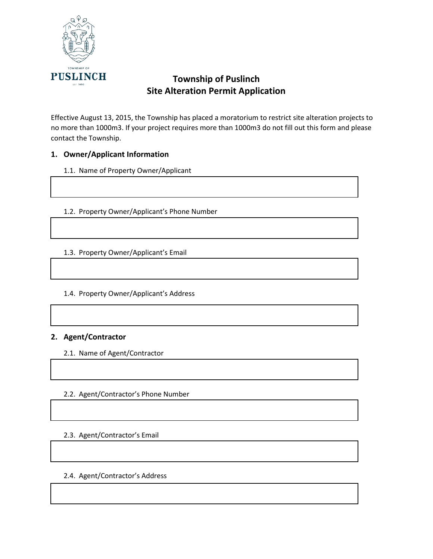

Effective August 13, 2015, the Township has placed a moratorium to restrict site alteration projects to no more than 1000m3. If your project requires more than 1000m3 do not fill out this form and please contact the Township.

### **1. Owner/Applicant Information**

### 1.1. Name of Property Owner/Applicant

1.2. Property Owner/Applicant's Phone Number

1.3. Property Owner/Applicant's Email

### 1.4. Property Owner/Applicant's Address

### **2. Agent/Contractor**

2.1. Name of Agent/Contractor

### 2.2. Agent/Contractor's Phone Number

### 2.3. Agent/Contractor's Email

### 2.4. Agent/Contractor's Address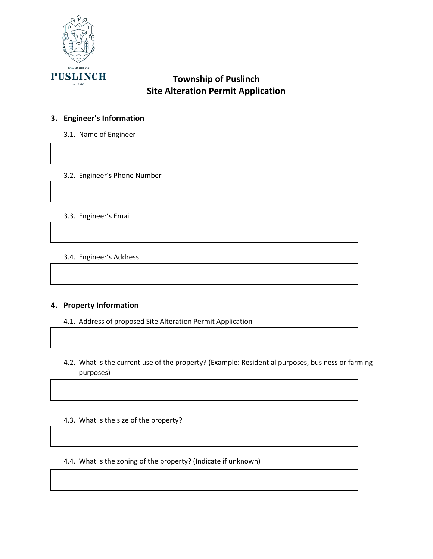

# **3. Engineer's Information**

3.1. Name of Engineer

### 3.2. Engineer's Phone Number

#### 3.3. Engineer's Email

3.4. Engineer's Address

### **4. Property Information**

- 4.1. Address of proposed Site Alteration Permit Application
- 4.2. What is the current use of the property? (Example: Residential purposes, business or farming purposes)
- 4.3. What is the size of the property?
- 4.4. What is the zoning of the property? (Indicate if unknown)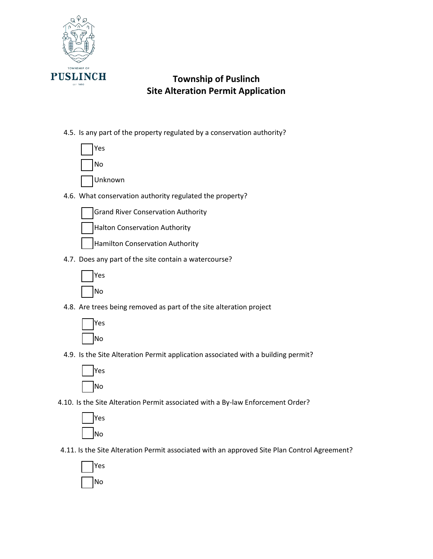

## 4.5. Is any part of the property regulated by a conservation authority?

- Yes No Unknown
- 4.6. What conservation authority regulated the property?
	- Grand River Conservation Authority
	- Halton Conservation Authority
	- Hamilton Conservation Authority
- 4.7. Does any part of the site contain a watercourse?



4.8. Are trees being removed as part of the site alteration project



4.9. Is the Site Alteration Permit application associated with a building permit?



4.10. Is the Site Alteration Permit associated with a By-law Enforcement Order?



4.11. Is the Site Alteration Permit associated with an approved Site Plan Control Agreement?

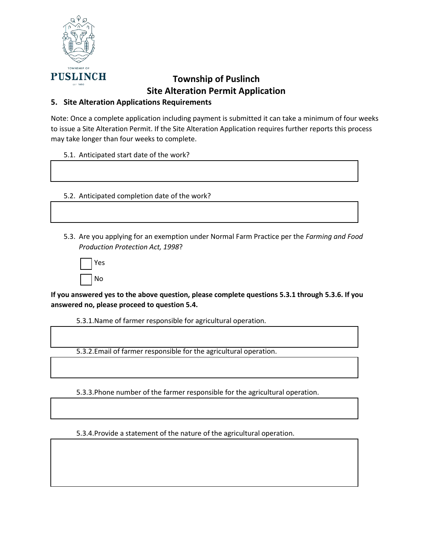

## **5. Site Alteration Applications Requirements**

Note: Once a complete application including payment is submitted it can take a minimum of four weeks to issue a Site Alteration Permit. If the Site Alteration Application requires further reports this process may take longer than four weeks to complete.

5.1. Anticipated start date of the work?

5.2. Anticipated completion date of the work?

5.3. Are you applying for an exemption under Normal Farm Practice per the *Farming and Food Production Protection Act, 1998*?

| Yes |
|-----|
| No  |

**If you answered yes to the above question, please complete questions 5.3.1 through 5.3.6. If you answered no, please proceed to question 5.4.** 

5.3.1.Name of farmer responsible for agricultural operation.

5.3.2.Email of farmer responsible for the agricultural operation.

5.3.3.Phone number of the farmer responsible for the agricultural operation.

5.3.4.Provide a statement of the nature of the agricultural operation.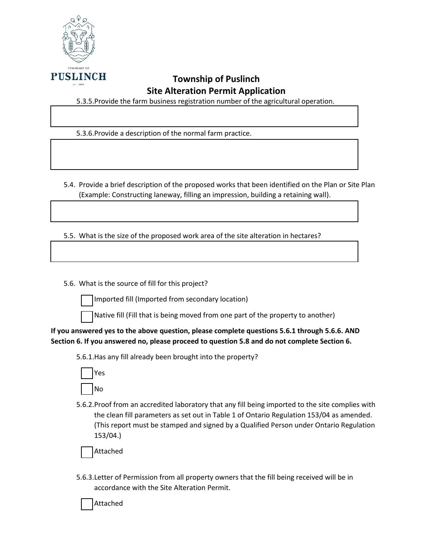

5.3.5.Provide the farm business registration number of the agricultural operation.

5.3.6.Provide a description of the normal farm practice.

5.4. Provide a brief description of the proposed works that been identified on the Plan or Site Plan (Example: Constructing laneway, filling an impression, building a retaining wall).

5.5. What is the size of the proposed work area of the site alteration in hectares?

5.6. What is the source of fill for this project?

Imported fill (Imported from secondary location)



Native fill (Fill that is being moved from one part of the property to another)

**If you answered yes to the above question, please complete questions 5.6.1 through 5.6.6. AND Section 6. If you answered no, please proceed to question 5.8 and do not complete Section 6.** 

5.6.1.Has any fill already been brought into the property?



5.6.2.Proof from an accredited laboratory that any fill being imported to the site complies with the clean fill parameters as set out in Table 1 of Ontario Regulation 153/04 as amended. (This report must be stamped and signed by a Qualified Person under Ontario Regulation 153/04.)

Attached

5.6.3.Letter of Permission from all property owners that the fill being received will be in accordance with the Site Alteration Permit.

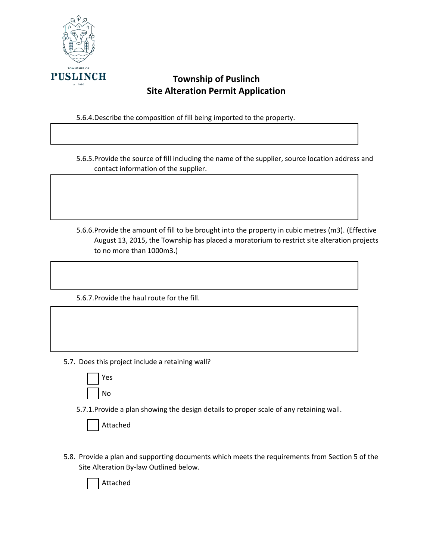

5.6.4.Describe the composition of fill being imported to the property.

5.6.5.Provide the source of fill including the name of the supplier, source location address and contact information of the supplier.

5.6.6.Provide the amount of fill to be brought into the property in cubic metres (m3). (Effective August 13, 2015, the Township has placed a moratorium to restrict site alteration projects to no more than 1000m3.)

5.6.7.Provide the haul route for the fill.

- 5.7. Does this project include a retaining wall?
	- Yes No

5.7.1.Provide a plan showing the design details to proper scale of any retaining wall.

|  | Attached |
|--|----------|
|--|----------|

5.8. Provide a plan and supporting documents which meets the requirements from Section 5 of the Site Alteration By-law Outlined below.

Attached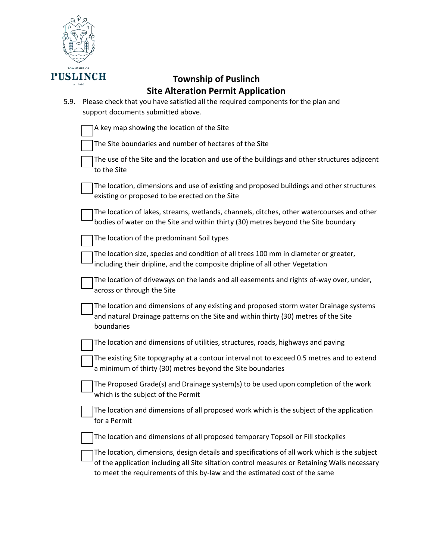

| 5.9. | site Alteration Fernit Application<br>Please check that you have satisfied all the required components for the plan and<br>support documents submitted above.                                                                                                               |
|------|-----------------------------------------------------------------------------------------------------------------------------------------------------------------------------------------------------------------------------------------------------------------------------|
|      | A key map showing the location of the Site                                                                                                                                                                                                                                  |
|      | The Site boundaries and number of hectares of the Site                                                                                                                                                                                                                      |
|      | The use of the Site and the location and use of the buildings and other structures adjacent<br>to the Site                                                                                                                                                                  |
|      | The location, dimensions and use of existing and proposed buildings and other structures<br>existing or proposed to be erected on the Site                                                                                                                                  |
|      | The location of lakes, streams, wetlands, channels, ditches, other watercourses and other<br>bodies of water on the Site and within thirty (30) metres beyond the Site boundary                                                                                             |
|      | The location of the predominant Soil types                                                                                                                                                                                                                                  |
|      | The location size, species and condition of all trees 100 mm in diameter or greater,<br>including their dripline, and the composite dripline of all other Vegetation                                                                                                        |
|      | The location of driveways on the lands and all easements and rights of-way over, under,<br>across or through the Site                                                                                                                                                       |
|      | The location and dimensions of any existing and proposed storm water Drainage systems<br>and natural Drainage patterns on the Site and within thirty (30) metres of the Site<br>boundaries                                                                                  |
|      | The location and dimensions of utilities, structures, roads, highways and paving                                                                                                                                                                                            |
|      | The existing Site topography at a contour interval not to exceed 0.5 metres and to extend<br>a minimum of thirty (30) metres beyond the Site boundaries                                                                                                                     |
|      | The Proposed Grade(s) and Drainage system(s) to be used upon completion of the work<br>which is the subject of the Permit                                                                                                                                                   |
|      | The location and dimensions of all proposed work which is the subject of the application<br>for a Permit                                                                                                                                                                    |
|      | The location and dimensions of all proposed temporary Topsoil or Fill stockpiles                                                                                                                                                                                            |
|      | The location, dimensions, design details and specifications of all work which is the subject<br>of the application including all Site siltation control measures or Retaining Walls necessary<br>to meet the requirements of this by-law and the estimated cost of the same |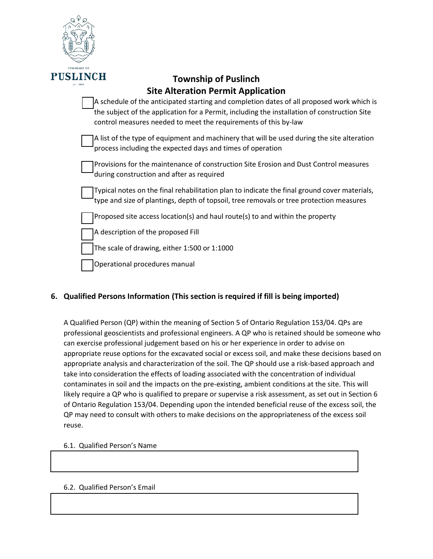

| A schedule of the anticipated starting and completion dates of all proposed work which is    |
|----------------------------------------------------------------------------------------------|
| the subject of the application for a Permit, including the installation of construction Site |
| control measures needed to meet the requirements of this by-law                              |
|                                                                                              |

A list of the type of equipment and machinery that will be used during the site alteration process including the expected days and times of operation

Provisions for the maintenance of construction Site Erosion and Dust Control measures during construction and after as required

Typical notes on the final rehabilitation plan to indicate the final ground cover materials, type and size of plantings, depth of topsoil, tree removals or tree protection measures

Proposed site access location(s) and haul route(s) to and within the property

A description of the proposed Fill

The scale of drawing, either 1:500 or 1:1000

Operational procedures manual

# **6. Qualified Persons Information (This section is required if fill is being imported)**

A Qualified Person (QP) within the meaning of Section 5 of Ontario Regulation 153/04. QPs are professional geoscientists and professional engineers. A QP who is retained should be someone who can exercise professional judgement based on his or her experience in order to advise on appropriate reuse options for the excavated social or excess soil, and make these decisions based on appropriate analysis and characterization of the soil. The QP should use a risk-based approach and take into consideration the effects of loading associated with the concentration of individual contaminates in soil and the impacts on the pre-existing, ambient conditions at the site. This will likely require a QP who is qualified to prepare or supervise a risk assessment, as set out in Section 6 of Ontario Regulation 153/04. Depending upon the intended beneficial reuse of the excess soil, the QP may need to consult with others to make decisions on the appropriateness of the excess soil reuse.

### 6.1. Qualified Person's Name

## 6.2. Qualified Person's Email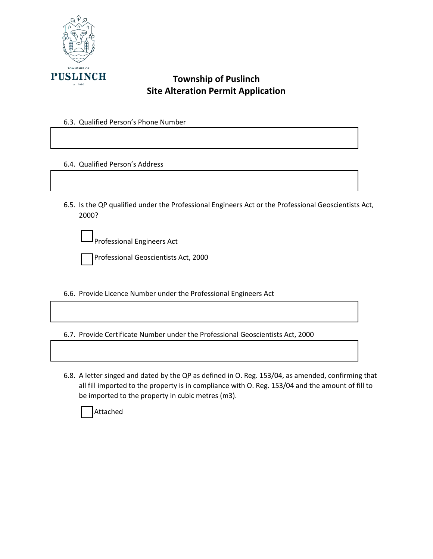

#### 6.3. Qualified Person's Phone Number

6.4. Qualified Person's Address

6.5. Is the QP qualified under the Professional Engineers Act or the Professional Geoscientists Act, 2000?

Professional Engineers Act



6.6. Provide Licence Number under the Professional Engineers Act

6.7. Provide Certificate Number under the Professional Geoscientists Act, 2000

6.8. A letter singed and dated by the QP as defined in O. Reg. 153/04, as amended, confirming that all fill imported to the property is in compliance with O. Reg. 153/04 and the amount of fill to be imported to the property in cubic metres (m3).

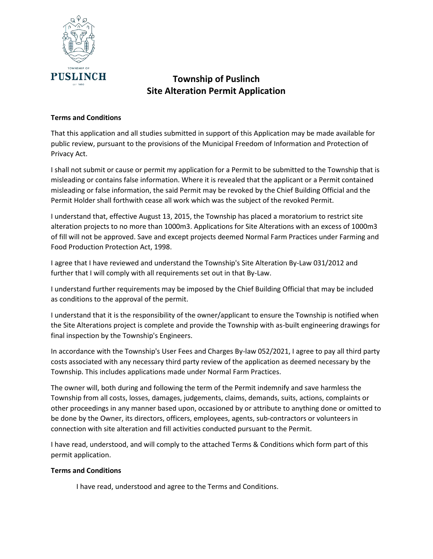

#### **Terms and Conditions**

That this application and all studies submitted in support of this Application may be made available for public review, pursuant to the provisions of the Municipal Freedom of Information and Protection of Privacy Act.

I shall not submit or cause or permit my application for a Permit to be submitted to the Township that is misleading or contains false information. Where it is revealed that the applicant or a Permit contained misleading or false information, the said Permit may be revoked by the Chief Building Official and the Permit Holder shall forthwith cease all work which was the subject of the revoked Permit.

I understand that, effective August 13, 2015, the Township has placed a moratorium to restrict site alteration projects to no more than 1000m3. Applications for Site Alterations with an excess of 1000m3 of fill will not be approved. Save and except projects deemed Normal Farm Practices under Farming and Food Production Protection Act, 1998.

I agree that I have reviewed and understand the Township's Site Alteration By-Law 031/2012 and further that I will comply with all requirements set out in that By-Law.

I understand further requirements may be imposed by the Chief Building Official that may be included as conditions to the approval of the permit.

I understand that it is the responsibility of the owner/applicant to ensure the Township is notified when the Site Alterations project is complete and provide the Township with as-built engineering drawings for final inspection by the Township's Engineers.

In accordance with the Township's User Fees and Charges By-law 052/2021, I agree to pay all third party costs associated with any necessary third party review of the application as deemed necessary by the Township. This includes applications made under Normal Farm Practices.

The owner will, both during and following the term of the Permit indemnify and save harmless the Township from all costs, losses, damages, judgements, claims, demands, suits, actions, complaints or other proceedings in any manner based upon, occasioned by or attribute to anything done or omitted to be done by the Owner, its directors, officers, employees, agents, sub-contractors or volunteers in connection with site alteration and fill activities conducted pursuant to the Permit.

I have read, understood, and will comply to the attached Terms & Conditions which form part of this permit application.

#### **Terms and Conditions**

I have read, understood and agree to the Terms and Conditions.